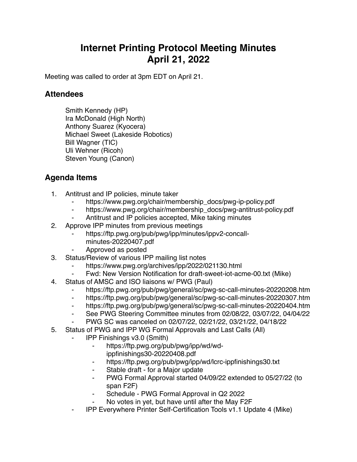## **Internet Printing Protocol Meeting Minutes April 21, 2022**

Meeting was called to order at 3pm EDT on April 21.

## **Attendees**

Smith Kennedy (HP) Ira McDonald (High North) Anthony Suarez (Kyocera) Michael Sweet (Lakeside Robotics) Bill Wagner (TIC) Uli Wehner (Ricoh) Steven Young (Canon)

## **Agenda Items**

- 1. Antitrust and IP policies, minute taker
	- https://www.pwg.org/chair/membership\_docs/pwg-ip-policy.pdf
	- ⁃ https://www.pwg.org/chair/membership\_docs/pwg-antitrust-policy.pdf
	- Antitrust and IP policies accepted, Mike taking minutes
- 2. Approve IPP minutes from previous meetings
	- https://ftp.pwg.org/pub/pwg/ipp/minutes/ippv2-concall
		- minutes-20220407.pdf
	- ⁃ Approved as posted
- 3. Status/Review of various IPP mailing list notes
	- https://www.pwg.org/archives/ipp/2022/021130.html
	- ⁃ Fwd: New Version Notification for draft-sweet-iot-acme-00.txt (Mike)
- 4. Status of AMSC and ISO liaisons w/ PWG (Paul)
	- https://ftp.pwg.org/pub/pwg/general/sc/pwg-sc-call-minutes-20220208.htm
	- ⁃ https://ftp.pwg.org/pub/pwg/general/sc/pwg-sc-call-minutes-20220307.htm
	- ⁃ https://ftp.pwg.org/pub/pwg/general/sc/pwg-sc-call-minutes-20220404.htm
	- ⁃ See PWG Steering Committee minutes from 02/08/22, 03/07/22, 04/04/22
	- ⁃ PWG SC was canceled on 02/07/22, 02/21/22, 03/21/22, 04/18/22
- 5. Status of PWG and IPP WG Formal Approvals and Last Calls (All)
	- ⁃ IPP Finishings v3.0 (Smith)
		- ⁃ https://ftp.pwg.org/pub/pwg/ipp/wd/wd
			- ippfinishings30-20220408.pdf
		- ⁃ https://ftp.pwg.org/pub/pwg/ipp/wd/lcrc-ippfinishings30.txt
		- ⁃ Stable draft for a Major update
		- ⁃ PWG Formal Approval started 04/09/22 extended to 05/27/22 (to span F2F)
		- ⁃ Schedule PWG Formal Approval in Q2 2022
		- No votes in yet, but have until after the May F2F
	- ⁃ IPP Everywhere Printer Self-Certification Tools v1.1 Update 4 (Mike)